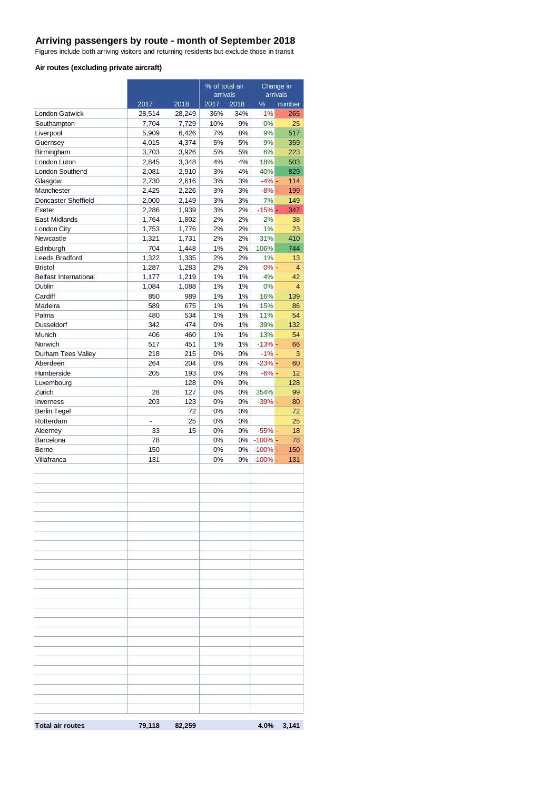## **Arriving passengers by route - month of September 2018**

Figures include both arriving visitors and returning residents but exclude those in transit

#### **Air routes (excluding private aircraft)**

|                                        |                |                | % of total air<br>arrivals |          | Change in<br>arrivals |                |
|----------------------------------------|----------------|----------------|----------------------------|----------|-----------------------|----------------|
|                                        | 2017           | 2018           | 2017                       | 2018     | $\frac{9}{6}$         | number         |
| <b>London Gatwick</b>                  | 28,514         | 28,249         | 36%                        | 34%      | $-1% -$               | 265            |
| Southampton                            | 7,704          | 7,729          | 10%                        | 9%       | 0%                    | 25             |
| Liverpool                              | 5,909          | 6,426          | 7%                         | 8%       | 9%                    | 517            |
| Guernsey                               | 4,015          | 4,374          | 5%                         | 5%       | 9%                    | 359            |
| Birmingham                             | 3,703          | 3,926          | 5%                         | 5%       | 6%                    | 223            |
| London Luton<br><b>London Southend</b> | 2,845          | 3,348          | 4%                         | 4%       | 18%<br>40%            | 503            |
| Glasgow                                | 2,081<br>2,730 | 2,910<br>2,616 | 3%<br>3%                   | 4%<br>3% | $-4%$ -               | 829<br>114     |
| Manchester                             | 2,425          | 2,226          | 3%                         | 3%       | $-8% -$               | 199            |
| Doncaster Sheffield                    | 2,000          | 2,149          | 3%                         | 3%       | 7%                    | 149            |
| Exeter                                 | 2,286          | 1,939          | 3%                         | 2%       | $-15%$ -              | 347            |
| East Midlands                          | 1,764          | 1,802          | 2%                         | 2%       | 2%                    | 38             |
| London City                            | 1,753          | 1,776          | 2%                         | 2%       | 1%                    | 23             |
| Newcastle                              | 1,321          | 1,731          | 2%                         | 2%       | 31%                   | 410            |
| Edinburgh                              | 704            | 1,448          | 1%                         | 2%       | 106%                  | 744            |
| Leeds Bradford                         | 1,322          | 1,335          | 2%                         | 2%       | 1%                    | 13             |
| <b>Bristol</b>                         | 1,287          | 1,283          | 2%                         | 2%       | $0% -$                | $\overline{4}$ |
| <b>Belfast International</b>           | 1,177          | 1,219          | 1%                         | 1%       | 4%                    | 42             |
| Dublin                                 | 1,084          | 1,088          | 1%                         | 1%       | 0%                    | $\overline{4}$ |
| Cardiff                                | 850            | 989            | 1%                         | 1%       | 16%                   | 139            |
| Madeira                                | 589            | 675            | 1%                         | 1%       | 15%                   | 86             |
| Palma                                  | 480            | 534            | 1%                         | 1%       | 11%                   | 54             |
| Dusseldorf                             | 342            | 474            | 0%                         | 1%       | 39%                   | 132            |
| Munich                                 | 406            | 460            | 1%                         | 1%       | 13%                   | 54             |
| Norwich                                | 517            | 451            | 1%                         | 1%       | $-13%$ -              | 66             |
| Durham Tees Valley                     | 218            | 215            | 0%                         | 0%       | $-1% -$               | 3              |
| Aberdeen                               | 264            | 204            | 0%                         | 0%       | $-23%$ -              | 60             |
| Humberside                             | 205            | 193            | 0%                         | 0%       | $-6% -$               | 12             |
| Luxembourg                             |                | 128            | 0%                         | 0%       |                       | 128            |
| Zurich                                 | 28             | 127            | 0%                         | 0%       | 354%                  | 99             |
| Inverness                              | 203            | 123            | 0%                         | 0%       | $-39% -$              | 80             |
| <b>Berlin Tegel</b>                    |                | 72             | 0%                         | 0%       |                       | 72             |
| Rotterdam                              |                | 25             | 0%                         | 0%       |                       | 25             |
| Alderney                               | 33             | 15             | 0%                         | 0%       | $-55%$ -              | 18             |
| Barcelona                              | 78             |                | 0%                         | $0\%$    | $-100\%$ -            | 78             |
| Berne                                  | 150            |                | 0%                         | 0%       | $-100\%$ -            | 150            |
| Villafranca                            | 131            |                | 0%                         | 0%       | $-100% -$             | 131            |
|                                        |                |                |                            |          |                       |                |
|                                        |                |                |                            |          |                       |                |
|                                        |                |                |                            |          |                       |                |
|                                        |                |                |                            |          |                       |                |
|                                        |                |                |                            |          |                       |                |
|                                        |                |                |                            |          |                       |                |
|                                        |                |                |                            |          |                       |                |
|                                        |                |                |                            |          |                       |                |
|                                        |                |                |                            |          |                       |                |
|                                        |                |                |                            |          |                       |                |
|                                        |                |                |                            |          |                       |                |
|                                        |                |                |                            |          |                       |                |
|                                        |                |                |                            |          |                       |                |
|                                        |                |                |                            |          |                       |                |
|                                        |                |                |                            |          |                       |                |
|                                        |                |                |                            |          |                       |                |
|                                        |                |                |                            |          |                       |                |
|                                        |                |                |                            |          |                       |                |
|                                        |                |                |                            |          |                       |                |
|                                        |                |                |                            |          |                       |                |
|                                        |                |                |                            |          |                       |                |
|                                        |                |                |                            |          |                       |                |
|                                        |                |                |                            |          |                       |                |
|                                        |                |                |                            |          |                       |                |
|                                        |                |                |                            |          |                       |                |
| <b>Total air routes</b>                | 79,118         | 82,259         |                            |          | 4.0%                  | 3,141          |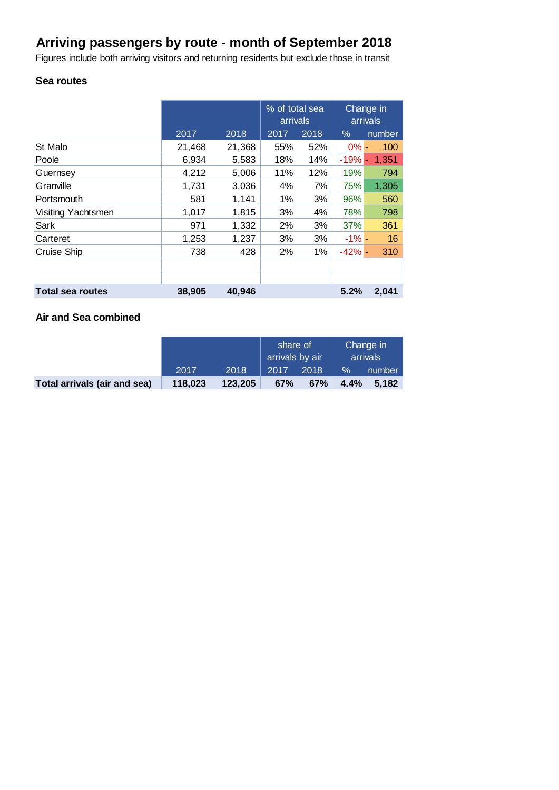# **Arriving passengers by route - month of September 2018**

Figures include both arriving visitors and returning residents but exclude those in transit

#### **Sea routes**

|                         |        |        | % of total sea<br>arrivals |      | Change in<br>arrivals |        |
|-------------------------|--------|--------|----------------------------|------|-----------------------|--------|
|                         | 2017   | 2018   | 2017                       | 2018 | $\%$                  | number |
| St Malo                 | 21,468 | 21,368 | 55%                        | 52%  | $0\%$ -               | 100    |
| Poole                   | 6,934  | 5,583  | 18%                        | 14%  | $-19%$ -              | 1,351  |
| Guernsey                | 4,212  | 5,006  | 11%                        | 12%  | 19%                   | 794    |
| Granville               | 1,731  | 3,036  | 4%                         | 7%   | 75%                   | 1,305  |
| Portsmouth              | 581    | 1,141  | 1%                         | 3%   | 96%                   | 560    |
| Visiting Yachtsmen      | 1,017  | 1,815  | 3%                         | 4%   | 78%                   | 798    |
| Sark                    | 971    | 1,332  | 2%                         | 3%   | 37%                   | 361    |
| Carteret                | 1,253  | 1,237  | 3%                         | 3%   | $-1\% -$              | 16     |
| <b>Cruise Ship</b>      | 738    | 428    | 2%                         | 1%   | $-42% -$              | 310    |
|                         |        |        |                            |      |                       |        |
|                         |        |        |                            |      |                       |        |
| <b>Total sea routes</b> | 38,905 | 40,946 |                            |      | 5.2%                  | 2,041  |

#### **Air and Sea combined**

|                              |         |         | share of<br>arrivals by air |      | Change in<br>arrivals |        |
|------------------------------|---------|---------|-----------------------------|------|-----------------------|--------|
|                              | 2017    | 2018    | 2017                        | 2018 | $\%$                  | number |
| Total arrivals (air and sea) | 118.023 | 123,205 | 67%                         | 67%  | 4.4%                  | 5.182  |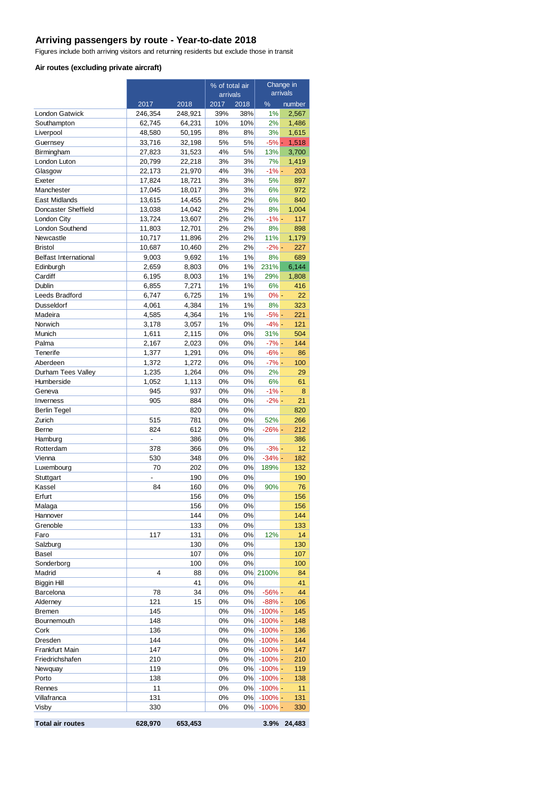## **Arriving passengers by route - Year-to-date 2018**

Figures include both arriving visitors and returning residents but exclude those in transit

#### **Air routes (excluding private aircraft)**

|                                      |                   |                   | % of total air |            | Change in               |                 |
|--------------------------------------|-------------------|-------------------|----------------|------------|-------------------------|-----------------|
|                                      |                   |                   | arrivals       |            |                         | arrivals        |
|                                      | 2017              | 2018              | 2017           | 2018       | %                       | number<br>2,567 |
| <b>London Gatwick</b><br>Southampton | 246,354<br>62,745 | 248,921<br>64,231 | 39%<br>10%     | 38%<br>10% | 1%<br>2%                | 1,486           |
| Liverpool                            | 48,580            | 50,195            | 8%             | 8%         | 3%                      | 1,615           |
| Guernsey                             | 33,716            | 32,198            | 5%             | 5%         | $-5%$ -                 | 1,518           |
| Birmingham                           | 27,823            | 31,523            | 4%             | 5%         | 13%                     | 3,700           |
| London Luton                         | 20,799            | 22,218            | 3%             | 3%         | 7%                      | 1,419           |
| Glasgow                              | 22,173            | 21,970            | 4%             | 3%         | $-1\% -$                | 203             |
| Exeter                               | 17,824            | 18,721            | 3%             | 3%         | 5%                      | 897             |
| Manchester                           | 17,045            | 18,017            | 3%             | 3%         | 6%                      | 972             |
| East Midlands                        | 13,615            | 14,455            | 2%             | 2%         | 6%                      | 840             |
| Doncaster Sheffield                  | 13,038            | 14,042            | 2%             | 2%         | 8%                      | 1,004           |
| London City                          | 13,724            | 13,607            | 2%             | 2%         | $-1% -$                 | 117             |
| London Southend<br>Newcastle         | 11,803            | 12,701            | 2%<br>2%       | 2%<br>2%   | 8%<br>11%               | 898             |
| <b>Bristol</b>                       | 10,717<br>10,687  | 11,896<br>10,460  | 2%             | 2%         | $-2\%$ -                | 1,179<br>227    |
| <b>Belfast International</b>         | 9,003             | 9,692             | 1%             | 1%         | 8%                      | 689             |
| Edinburgh                            | 2,659             | 8,803             | 0%             | 1%         | 231%                    | 6,144           |
| Cardiff                              | 6,195             | 8,003             | 1%             | 1%         | 29%                     | 1,808           |
| Dublin                               | 6,855             | 7,271             | 1%             | 1%         | 6%                      | 416             |
| Leeds Bradford                       | 6,747             | 6,725             | 1%             | 1%         | $0% -$                  | 22              |
| Dusseldorf                           | 4,061             | 4,384             | 1%             | 1%         | 8%                      | 323             |
| Madeira                              | 4,585             | 4,364             | 1%             | 1%         | $-5%$ -                 | 221             |
| Norwich                              | 3,178             | 3,057             | 1%             | 0%         | $-4% -$                 | 121             |
| Munich                               | 1,611             | 2,115             | 0%             | 0%         | 31%                     | 504             |
| Palma                                | 2,167             | 2,023             | 0%             | 0%         | $-7% -$                 | 144             |
| Tenerife                             | 1,377             | 1,291             | 0%             | 0%         | $-6% -$                 | 86              |
| Aberdeen                             | 1,372             | 1,272             | 0%             | 0%         | $-7% -$                 | 100             |
| Durham Tees Valley                   | 1,235             | 1,264             | 0%<br>0%       | 0%         | 2%<br>6%                | 29<br>61        |
| Humberside<br>Geneva                 | 1,052<br>945      | 1,113<br>937      | 0%             | 0%<br>0%   | $-1% -$                 | 8               |
| Inverness                            | 905               | 884               | 0%             | 0%         | $-2\%$ -                | 21              |
| <b>Berlin Tegel</b>                  |                   | 820               | 0%             | 0%         |                         | 820             |
| Zurich                               | 515               | 781               | 0%             | 0%         | 52%                     | 266             |
| Berne                                | 824               | 612               | 0%             | 0%         | $-26%$ -                | 212             |
| Hamburg                              | $\overline{a}$    | 386               | 0%             | 0%         |                         | 386             |
| Rotterdam                            | 378               | 366               | 0%             | 0%         | $-3% -$                 | 12              |
| Vienna                               | 530               | 348               | 0%             | 0%         | $-34% -$                | 182             |
| Luxembourg                           | 70                | 202               | 0%             | 0%         | 189%                    | 132             |
| Stuttgart                            | L                 | 190               | 0%             | 0%         |                         | 190             |
| Kassel                               | 84                | 160               | 0%             | 0%         | 90%                     | 76              |
| Erfurt                               |                   | 156               | 0%             | 0%         |                         | 156             |
| Malaga<br>Hannover                   |                   | 156<br>144        | 0%<br>0%       | 0%<br>0%   |                         | 156<br>144      |
| Grenoble                             |                   | 133               | 0%             | 0%         |                         | 133             |
| Faro                                 | 117               | 131               | 0%             | 0%         | 12%                     | 14              |
| Salzburg                             |                   | 130               | 0%             | 0%         |                         | 130             |
| Basel                                |                   | 107               | 0%             | 0%         |                         | 107             |
| Sonderborg                           |                   | 100               | 0%             | 0%         |                         | 100             |
| Madrid                               | 4                 | 88                | 0%             |            | 0% 2100%                | 84              |
| <b>Biggin Hill</b>                   |                   | 41                | 0%             | 0%         |                         | 41              |
| Barcelona                            | 78                | 34                | 0%             | 0%         | $-56%$ -                | 44              |
| Alderney                             | 121               | 15                | 0%             | 0%         | $-88%$ -                | 106             |
| <b>Bremen</b>                        | 145               |                   | 0%             | 0%         | $-100% -$               | 145             |
| Bournemouth                          | 148               |                   | 0%             | 0%         | $-100%$ -               | 148             |
| Cork                                 | 136               |                   | 0%             | 0%         | $-100\%$ -              | 136             |
| Dresden                              | 144<br>147        |                   | 0%             | 0%         | $-100\%$ -              | 144             |
| Frankfurt Main<br>Friedrichshafen    | 210               |                   | 0%<br>0%       | 0%<br>0%   | $-100%$ -<br>$-100\%$ - | 147<br>210      |
| Newquay                              | 119               |                   | 0%             | 0%         | $-100% -$               | 119             |
| Porto                                | 138               |                   | 0%             | $0\%$      | $-100% -$               | 138             |
| Rennes                               | 11                |                   | 0%             | 0%         | $-100\%$ -              | 11              |
| Villafranca                          | 131               |                   | 0%             | 0%         | $-100\%$ -              | 131             |
| Visby                                | 330               |                   | 0%             | 0%         | $-100\%$ -              | 330             |
| <b>Total air routes</b>              | 628,970           | 653,453           |                |            | 3.9%                    | 24,483          |